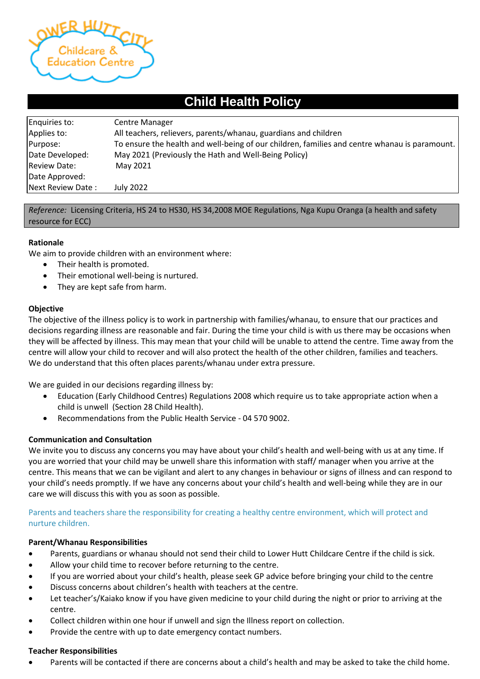

# **Child Health Policy**

| Enquiries to:       | <b>Centre Manager</b>                                                                         |
|---------------------|-----------------------------------------------------------------------------------------------|
| Applies to:         | All teachers, relievers, parents/whanau, guardians and children                               |
| Purpose:            | To ensure the health and well-being of our children, families and centre whanau is paramount. |
| Date Developed:     | May 2021 (Previously the Hath and Well-Being Policy)                                          |
| <b>Review Date:</b> | May 2021                                                                                      |
| Date Approved:      |                                                                                               |
| Next Review Date:   | July 2022                                                                                     |

#### *Reference:* Licensing Criteria, HS 24 to HS30, HS 34,2008 MOE Regulations, Nga Kupu Oranga (a health and safety resource for ECC)

## **Rationale**

We aim to provide children with an environment where:

- Their health is promoted.
- Their emotional well-being is nurtured.
- They are kept safe from harm.

#### **Objective**

The objective of the illness policy is to work in partnership with families/whanau, to ensure that our practices and decisions regarding illness are reasonable and fair. During the time your child is with us there may be occasions when they will be affected by illness. This may mean that your child will be unable to attend the centre. Time away from the centre will allow your child to recover and will also protect the health of the other children, families and teachers. We do understand that this often places parents/whanau under extra pressure.

We are guided in our decisions regarding illness by:

- Education (Early Childhood Centres) Regulations 2008 which require us to take appropriate action when a child is unwell (Section 28 Child Health).
- Recommendations from the Public Health Service 04 570 9002.

#### **Communication and Consultation**

We invite you to discuss any concerns you may have about your child's health and well-being with us at any time. If you are worried that your child may be unwell share this information with staff/ manager when you arrive at the centre. This means that we can be vigilant and alert to any changes in behaviour or signs of illness and can respond to your child's needs promptly. If we have any concerns about your child's health and well-being while they are in our care we will discuss this with you as soon as possible.

## Parents and teachers share the responsibility for creating a healthy centre environment, which will protect and nurture children.

#### **Parent/Whanau Responsibilities**

- Parents, guardians or whanau should not send their child to Lower Hutt Childcare Centre if the child is sick.
- Allow your child time to recover before returning to the centre.
- If you are worried about your child's health, please seek GP advice before bringing your child to the centre
- Discuss concerns about children's health with teachers at the centre.
- Let teacher's/Kaiako know if you have given medicine to your child during the night or prior to arriving at the centre.
- Collect children within one hour if unwell and sign the Illness report on collection.
- Provide the centre with up to date emergency contact numbers.

#### **Teacher Responsibilities**

• Parents will be contacted if there are concerns about a child's health and may be asked to take the child home.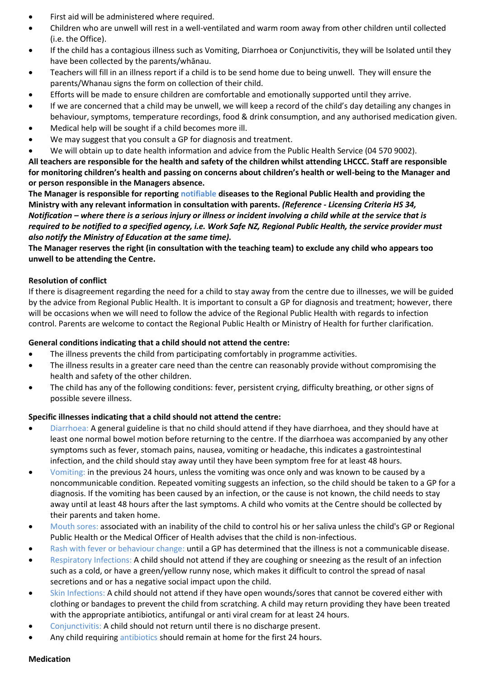- First aid will be administered where required.
- Children who are unwell will rest in a well-ventilated and warm room away from other children until collected (i.e. the Office).
- If the child has a contagious illness such as Vomiting, Diarrhoea or Conjunctivitis, they will be Isolated until they have been collected by the parents/whānau.
- Teachers will fill in an illness report if a child is to be send home due to being unwell. They will ensure the parents/Whanau signs the form on collection of their child.
- Efforts will be made to ensure children are comfortable and emotionally supported until they arrive.
- If we are concerned that a child may be unwell, we will keep a record of the child's day detailing any changes in behaviour, symptoms, temperature recordings, food & drink consumption, and any authorised medication given.
- Medical help will be sought if a child becomes more ill.
- We may suggest that you consult a GP for diagnosis and treatment.
- We will obtain up to date health information and advice from the Public Health Service (04 570 9002).

**All teachers are responsible for the health and safety of the children whilst attending LHCCC. Staff are responsible for monitoring children's health and passing on concerns about children's health or well-being to the Manager and or person responsible in the Managers absence.**

**The Manager is responsible for reporting notifiable diseases to the Regional Public Health and providing the Ministry with any relevant information in consultation with parents.** *(Reference - Licensing Criteria HS 34, Notification – where there is a serious injury or illness or incident involving a child while at the service that is required to be notified to a specified agency, i.e. Work Safe NZ, Regional Public Health, the service provider must also notify the Ministry of Education at the same time).*

**The Manager reserves the right (in consultation with the teaching team) to exclude any child who appears too unwell to be attending the Centre.**

# **Resolution of conflict**

If there is disagreement regarding the need for a child to stay away from the centre due to illnesses, we will be guided by the advice from Regional Public Health. It is important to consult a GP for diagnosis and treatment; however, there will be occasions when we will need to follow the advice of the Regional Public Health with regards to infection control. Parents are welcome to contact the Regional Public Health or Ministry of Health for further clarification.

## **General conditions indicating that a child should not attend the centre:**

- The illness prevents the child from participating comfortably in programme activities.
- The illness results in a greater care need than the centre can reasonably provide without compromising the health and safety of the other children.
- The child has any of the following conditions: fever, persistent crying, difficulty breathing, or other signs of possible severe illness.

## **Specific illnesses indicating that a child should not attend the centre:**

- Diarrhoea: A general guideline is that no child should attend if they have diarrhoea, and they should have at least one normal bowel motion before returning to the centre. If the diarrhoea was accompanied by any other symptoms such as fever, stomach pains, nausea, vomiting or headache, this indicates a gastrointestinal infection, and the child should stay away until they have been symptom free for at least 48 hours.
- Vomiting: in the previous 24 hours, unless the vomiting was once only and was known to be caused by a noncommunicable condition. Repeated vomiting suggests an infection, so the child should be taken to a GP for a diagnosis. If the vomiting has been caused by an infection, or the cause is not known, the child needs to stay away until at least 48 hours after the last symptoms. A child who vomits at the Centre should be collected by their parents and taken home.
- Mouth sores: associated with an inability of the child to control his or her saliva unless the child's GP or Regional Public Health or the Medical Officer of Health advises that the child is non-infectious.
- Rash with fever or behaviour change: until a GP has determined that the illness is not a communicable disease.
- Respiratory Infections: A child should not attend if they are coughing or sneezing as the result of an infection such as a cold, or have a green/yellow runny nose, which makes it difficult to control the spread of nasal secretions and or has a negative social impact upon the child.
- Skin Infections: A child should not attend if they have open wounds/sores that cannot be covered either with clothing or bandages to prevent the child from scratching. A child may return providing they have been treated with the appropriate antibiotics, antifungal or anti viral cream for at least 24 hours.
- Conjunctivitis: A child should not return until there is no discharge present.
- Any child requiring antibiotics should remain at home for the first 24 hours.

#### **Medication**